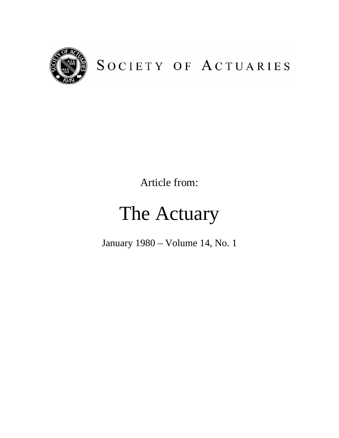

# SOCIETY OF ACTUARIES

Article from:

# The Actuary

January 1980 – Volume 14, No. 1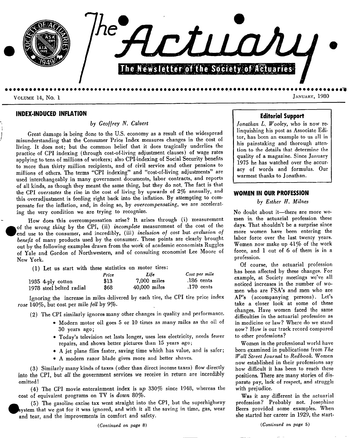

**INDEX-INDUCED INFLATION** 

*by Geoffrey N. Calvert* 

Great damage is being done to the U.S. economy as a result of the widespread misunderstanding that the Consumer Price Index measures changes in the cost of living. It does not; but the common belief that it does tragically underlies the practice of CPI indexing (through cost-of-living adjustment clauses) of wage rates applying to tens of millions of workers; also CPI-indexing of Social Security benefits to more than thirty million recipients, and of civil service and other pensions to millions of others. The terms "CPI indexing" and *"cost-of-living* adjustments" are used interchangeably in many government documents, labor contracts, and reports of **all** kinds, as though they meant the same thing, but they do not. The fact is that the CPI *overstates the* rise in the cost of living by upwards of 2% annually, and this overadjustment is feeding right back into the inflation. By attempting to compensate for the inflation, and, in doing so, by *overcompensating,* we are accelerating the very condition we are trying to recognize.

How does this overcompensation arise? It arises through (i) measurement of the *wrong thing* by the CPI, (ii) *incomplete* measurement of the cost of the end use to the consumer, and incredibly, (iii) *inclusion o/ cost* but *exclusion o/*  benefit of many products used by the consumer. These points are clearly brought out by the following examples drawn from the work of academic economists Ruggles of Yale and Gordon of Northwestern, and of consulting economist Lee Moore of New York.

(1) Let us start with these statistics on motor tires:

|                          | Price | Life           | Cost per mile |
|--------------------------|-------|----------------|---------------|
| 1935 $4$ -ply cotton     | \$13  | $7.000$ miles  | $.186$ cents  |
| 1978 steel belted radial | 868   | $40,000$ miles | $.170$ cents  |

Ignoring the increase in miles delivered by each tire, the CPI tire price index rose 140%, but cost per mile fell by 9%.

(2) The CPI similarly ignores many other changes in quality and performance.

- Modern motor oil goes 5 or 10 times as many miles as the oil of 30 years ago;
- ® Today's television set lasts longer, uses less electricity, needs fewer repairs, and shows better pictures than 15 years ago;
- A jet plane flies faster, saving time which has value, and is safer;
- ® A modern razor blade gives more and better shaves.

(3) Similarly many kinds of taxes (other than direct income taxes) flow directly into the CPI, but *all the* government services we receive in return are incredibly omitted !

(4) The CPI movie enterainment index is *up* 330% since 1948, whereas the cost of equivalent programs on TV is *down* 80%.

(5) The gasoline excise tax went straight into the CPI, but the superhighway system that we got for it was ignored, and with it all the saving in time, gas, wear and tear, and the improvements in comfort and safety.

# **Editorial Support**

*Jonathan L. Wooley,* who is now relinquishing his post as Associate Editor, has been an example to us all in his painstaking and thorough attention to the details that determine the quality of a magazine. Since January 1975 he has watched over the accuracy of words and formulas. Our warmest thanks to Jonathan.

#### **WOMEN IN OUR PROFESSION**

*by Esther H. Milnes* 

No doubt about it-there are more women in the actuarial profession these days. That shouldn't be a surprise since more women have been entering the labor force over the last twenty years. Women now make up 41% of the work force, and 1 out of 6 of them is in a profession.

Of course, the actuarial profession has been affected by these changes. For example, at Society meetings we've all noticed increases in the number of women who are FSA's and men who are AP's (accompanying persons). Let's take a closer look at some of these changes. Have women faced the same diflficulties in the actuarial profession as in medicine or law? Where do we stand now? How is our track record compared to other professions?

Women in the professional world have been examined in publications from *The ~all Street Journal* to *Redbook.* Women now established in their professions say how difficult it has been to reach these positions. There are many stories of disparate pay, lack of respect, and struggle with prejudice.

Was it any different in the actuarial profession? Probably not. Josephine Beers provided some examples. When she started her career in 1929, the start-